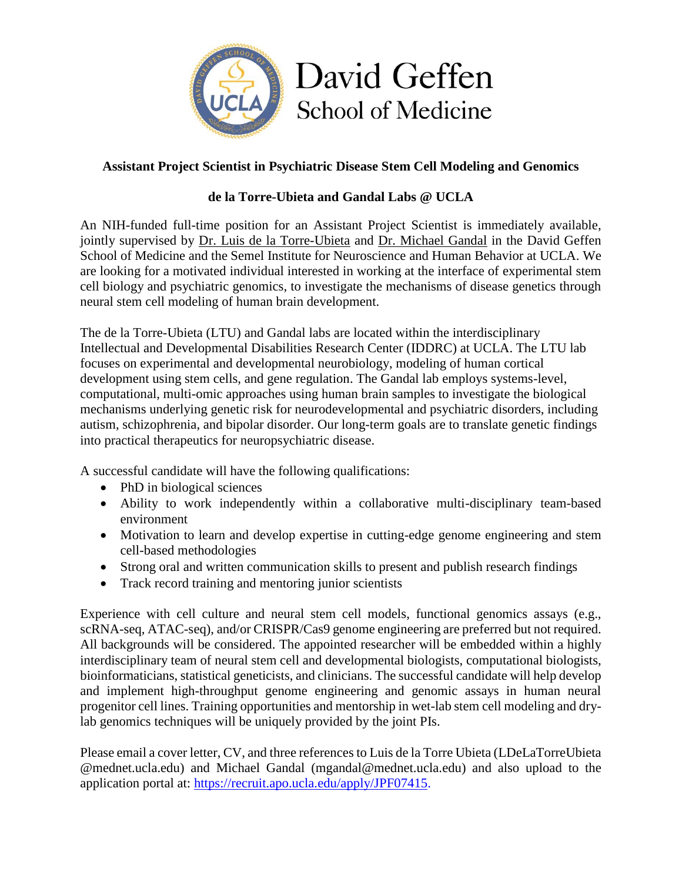

## **Assistant Project Scientist in Psychiatric Disease Stem Cell Modeling and Genomics**

## **de la Torre-Ubieta and Gandal Labs @ UCLA**

An NIH-funded full-time position for an Assistant Project Scientist is immediately available, jointly supervised by [Dr. Luis de la Torre-Ubieta](https://labs.dgsom.ucla.edu/torre-ubieta/pages/research) and [Dr. Michael Gandal](https://gandallab.dgsom.ucla.edu/pages/) in the David Geffen School of Medicine and the Semel Institute for Neuroscience and Human Behavior at UCLA. We are looking for a motivated individual interested in working at the interface of experimental stem cell biology and psychiatric genomics, to investigate the mechanisms of disease genetics through neural stem cell modeling of human brain development.

The de la Torre-Ubieta (LTU) and Gandal labs are located within the interdisciplinary Intellectual and Developmental Disabilities Research Center (IDDRC) at UCLA. The LTU lab focuses on experimental and developmental neurobiology, modeling of human cortical development using stem cells, and gene regulation. The Gandal lab employs systems-level, computational, multi-omic approaches using human brain samples to investigate the biological mechanisms underlying genetic risk for neurodevelopmental and psychiatric disorders, including autism, schizophrenia, and bipolar disorder. Our long-term goals are to translate genetic findings into practical therapeutics for neuropsychiatric disease.

A successful candidate will have the following qualifications:

- PhD in biological sciences
- Ability to work independently within a collaborative multi-disciplinary team-based environment
- Motivation to learn and develop expertise in cutting-edge genome engineering and stem cell-based methodologies
- Strong oral and written communication skills to present and publish research findings
- Track record training and mentoring junior scientists

Experience with cell culture and neural stem cell models, functional genomics assays (e.g., scRNA-seq, ATAC-seq), and/or CRISPR/Cas9 genome engineering are preferred but not required. All backgrounds will be considered. The appointed researcher will be embedded within a highly interdisciplinary team of neural stem cell and developmental biologists, computational biologists, bioinformaticians, statistical geneticists, and clinicians. The successful candidate will help develop and implement high-throughput genome engineering and genomic assays in human neural progenitor cell lines. Training opportunities and mentorship in wet-lab stem cell modeling and drylab genomics techniques will be uniquely provided by the joint PIs.

Please email a cover letter, CV, and three references to Luis de la Torre Ubieta (LDeLaTorreUbieta @mednet.ucla.edu) and Michael Gandal (mgandal@mednet.ucla.edu) and also upload to the application portal at: https://recruit.apo.ucla.edu/apply/JPF07415.